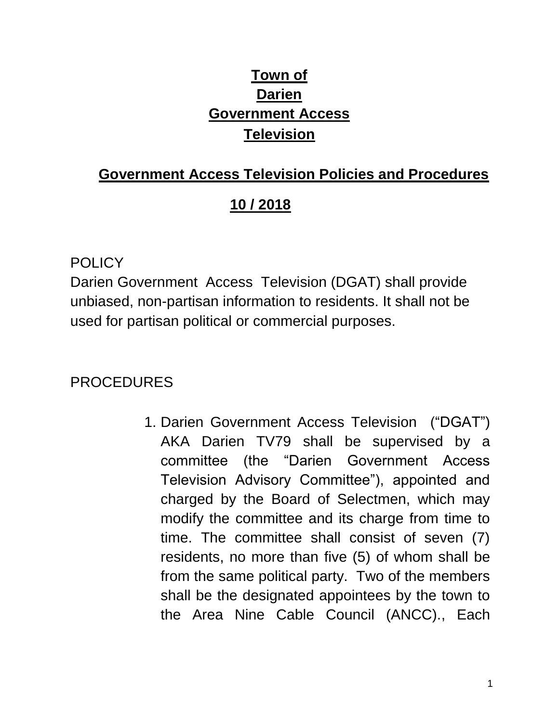# **Town of Darien Government Access Television**

### **Government Access Television Policies and Procedures**

#### **10 / 2018**

#### **POLICY**

Darien Government Access Television (DGAT) shall provide unbiased, non-partisan information to residents. It shall not be used for partisan political or commercial purposes.

## PROCEDURES

1. Darien Government Access Television ("DGAT") AKA Darien TV79 shall be supervised by a committee (the "Darien Government Access Television Advisory Committee"), appointed and charged by the Board of Selectmen, which may modify the committee and its charge from time to time. The committee shall consist of seven (7) residents, no more than five (5) of whom shall be from the same political party. Two of the members shall be the designated appointees by the town to the Area Nine Cable Council (ANCC)., Each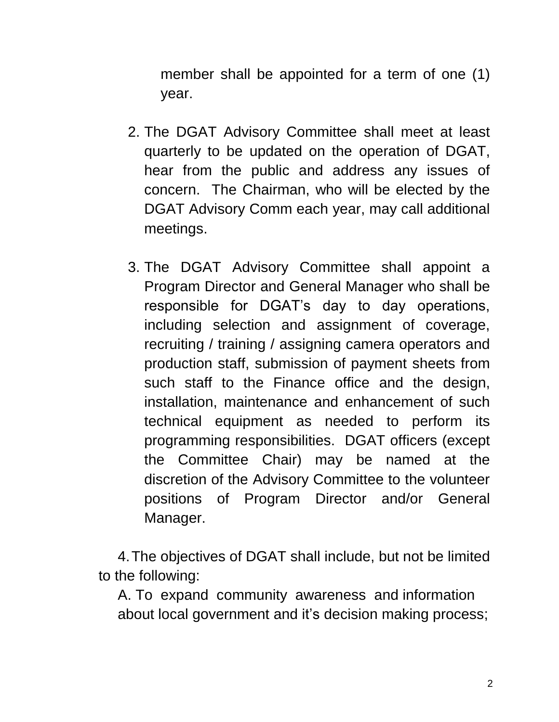member shall be appointed for a term of one (1) year.

- 2. The DGAT Advisory Committee shall meet at least quarterly to be updated on the operation of DGAT, hear from the public and address any issues of concern. The Chairman, who will be elected by the DGAT Advisory Comm each year, may call additional meetings.
- 3. The DGAT Advisory Committee shall appoint a Program Director and General Manager who shall be responsible for DGAT's day to day operations, including selection and assignment of coverage, recruiting / training / assigning camera operators and production staff, submission of payment sheets from such staff to the Finance office and the design, installation, maintenance and enhancement of such technical equipment as needed to perform its programming responsibilities. DGAT officers (except the Committee Chair) may be named at the discretion of the Advisory Committee to the volunteer positions of Program Director and/or General Manager.

4.The objectives of DGAT shall include, but not be limited to the following:

A. To expand community awareness and information about local government and it's decision making process;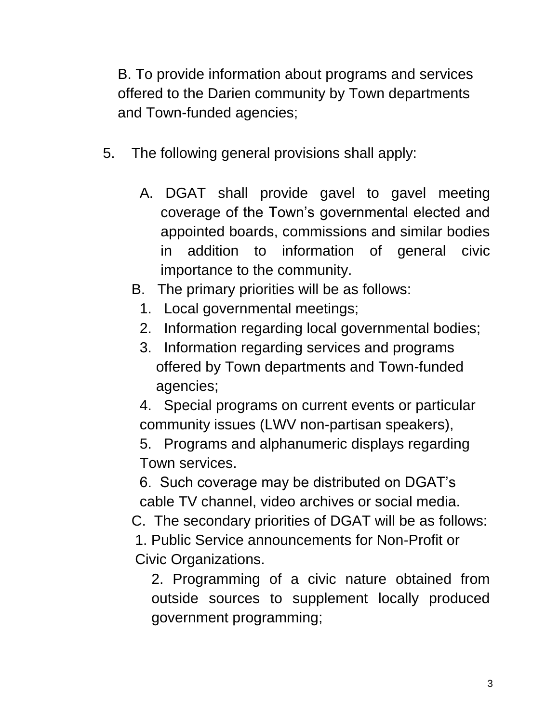B. To provide information about programs and services offered to the Darien community by Town departments and Town-funded agencies;

- 5. The following general provisions shall apply:
	- A. DGAT shall provide gavel to gavel meeting coverage of the Town's governmental elected and appointed boards, commissions and similar bodies in addition to information of general civic importance to the community.
	- B. The primary priorities will be as follows:
		- 1. Local governmental meetings;
		- 2. Information regarding local governmental bodies;
		- 3. Information regarding services and programs offered by Town departments and Town-funded agencies;

4. Special programs on current events or particular community issues (LWV non-partisan speakers),

5. Programs and alphanumeric displays regarding Town services.

6. Such coverage may be distributed on DGAT's cable TV channel, video archives or social media.

C. The secondary priorities of DGAT will be as follows:

1. Public Service announcements for Non-Profit or Civic Organizations.

2. Programming of a civic nature obtained from outside sources to supplement locally produced government programming;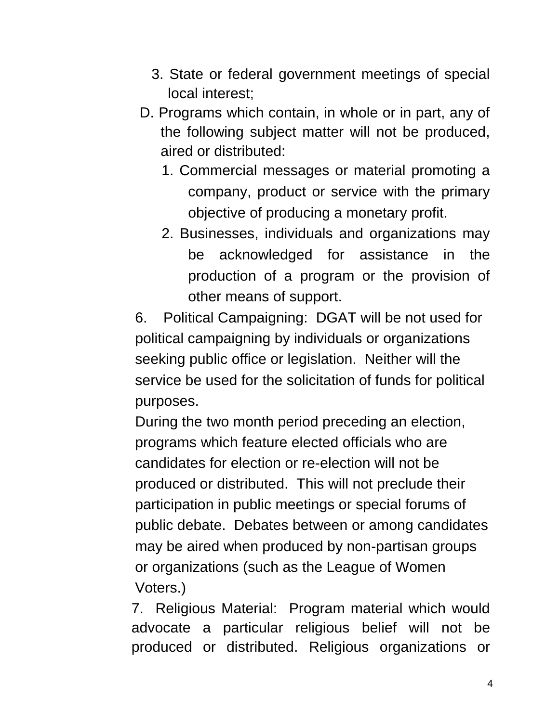- 3. State or federal government meetings of special local interest;
- D. Programs which contain, in whole or in part, any of the following subject matter will not be produced, aired or distributed:
	- 1. Commercial messages or material promoting a company, product or service with the primary objective of producing a monetary profit.
	- 2. Businesses, individuals and organizations may be acknowledged for assistance in the production of a program or the provision of other means of support.

6. Political Campaigning: DGAT will be not used for political campaigning by individuals or organizations seeking public office or legislation. Neither will the service be used for the solicitation of funds for political purposes.

During the two month period preceding an election, programs which feature elected officials who are candidates for election or re-election will not be produced or distributed. This will not preclude their participation in public meetings or special forums of public debate. Debates between or among candidates may be aired when produced by non-partisan groups or organizations (such as the League of Women Voters.)

7. Religious Material: Program material which would advocate a particular religious belief will not be produced or distributed. Religious organizations or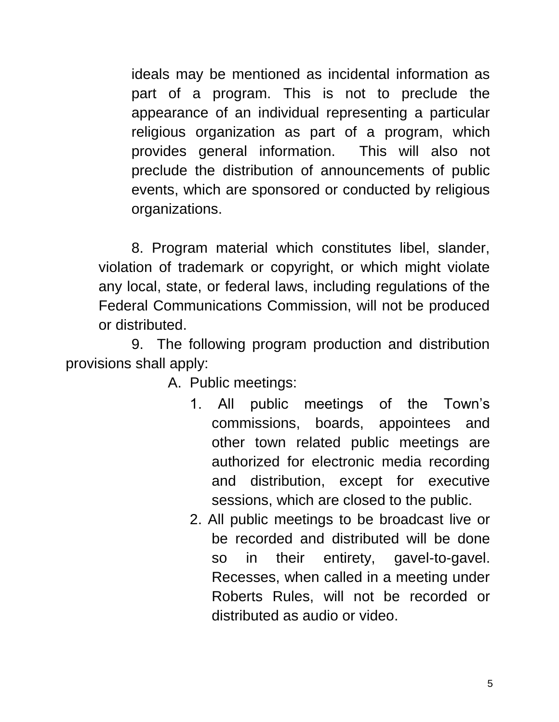ideals may be mentioned as incidental information as part of a program. This is not to preclude the appearance of an individual representing a particular religious organization as part of a program, which provides general information. This will also not preclude the distribution of announcements of public events, which are sponsored or conducted by religious organizations.

8. Program material which constitutes libel, slander, violation of trademark or copyright, or which might violate any local, state, or federal laws, including regulations of the Federal Communications Commission, will not be produced or distributed.

9. The following program production and distribution provisions shall apply:

A. Public meetings:

- 1. All public meetings of the Town's commissions, boards, appointees and other town related public meetings are authorized for electronic media recording and distribution, except for executive sessions, which are closed to the public.
- 2. All public meetings to be broadcast live or be recorded and distributed will be done so in their entirety, gavel-to-gavel. Recesses, when called in a meeting under Roberts Rules, will not be recorded or distributed as audio or video.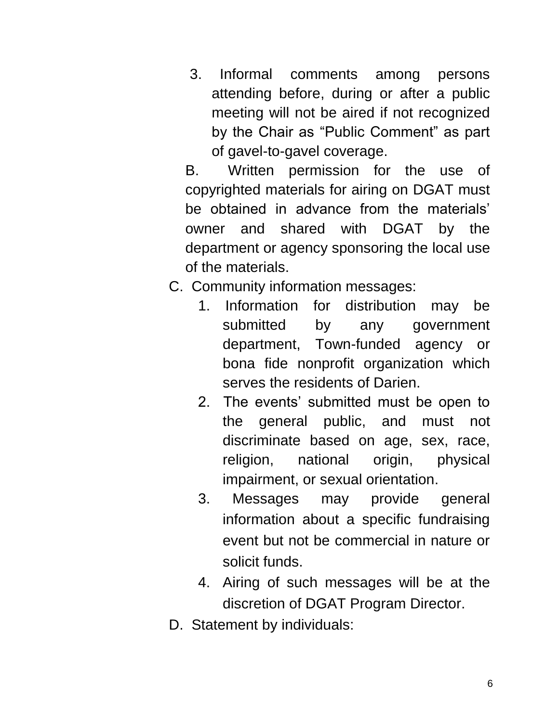3. Informal comments among persons attending before, during or after a public meeting will not be aired if not recognized by the Chair as "Public Comment" as part of gavel-to-gavel coverage.

B. Written permission for the use of copyrighted materials for airing on DGAT must be obtained in advance from the materials' owner and shared with DGAT by the department or agency sponsoring the local use of the materials.

- C. Community information messages:
	- 1. Information for distribution may be submitted by any government department, Town-funded agency or bona fide nonprofit organization which serves the residents of Darien.
	- 2. The events' submitted must be open to the general public, and must not discriminate based on age, sex, race, religion, national origin, physical impairment, or sexual orientation.
	- 3. Messages may provide general information about a specific fundraising event but not be commercial in nature or solicit funds.
	- 4. Airing of such messages will be at the discretion of DGAT Program Director.
- D. Statement by individuals: